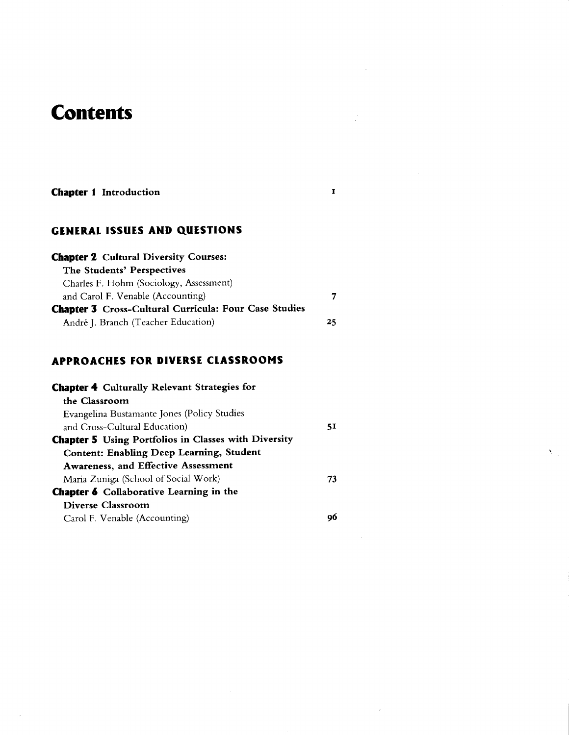# **Contents**

#### Chapter I Introduction

#### GENERAL ISSUES AND QUESTIONS

| <b>Chapter 2</b> Cultural Diversity Courses:                 |    |
|--------------------------------------------------------------|----|
| The Students' Perspectives                                   |    |
| Charles F. Hohm (Sociology, Assessment)                      |    |
| and Carol F. Venable (Accounting)                            | 7  |
| <b>Chapter 3</b> Cross-Cultural Curricula: Four Case Studies |    |
| André J. Branch (Teacher Education)                          | 25 |

 $\mathbf I$ 

### APPROACHES TOR DIVERSE C1ASSROOMS

| 51 |
|----|
|    |
|    |
|    |
| 73 |
|    |
|    |
| oo |
|    |